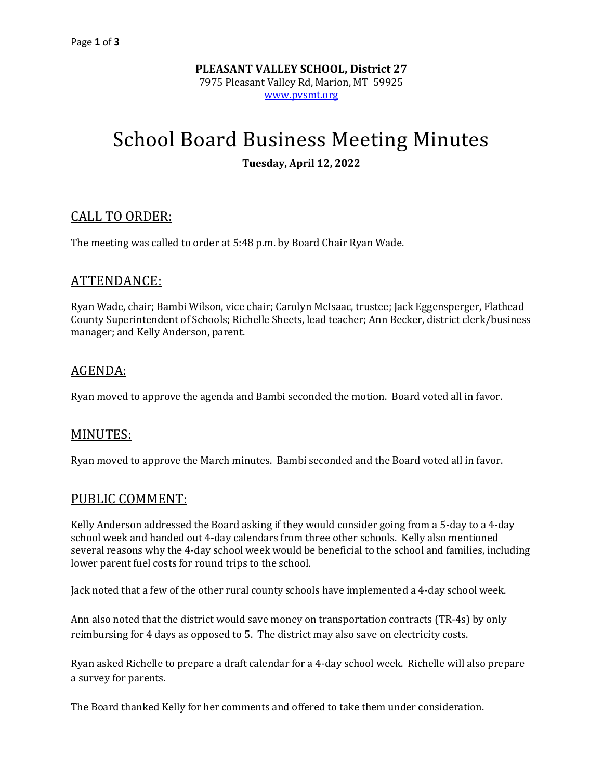**PLEASANT VALLEY SCHOOL, District 27** 7975 Pleasant Valley Rd, Marion, MT 59925 [www.pvsmt.org](http://www.pvsmt.org/)

# School Board Business Meeting Minutes

**Tuesday, April 12, 2022**

# CALL TO ORDER:

The meeting was called to order at 5:48 p.m. by Board Chair Ryan Wade.

# ATTENDANCE:

Ryan Wade, chair; Bambi Wilson, vice chair; Carolyn McIsaac, trustee; Jack Eggensperger, Flathead County Superintendent of Schools; Richelle Sheets, lead teacher; Ann Becker, district clerk/business manager; and Kelly Anderson, parent.

# AGENDA:

Ryan moved to approve the agenda and Bambi seconded the motion. Board voted all in favor.

# MINUTES:

Ryan moved to approve the March minutes. Bambi seconded and the Board voted all in favor.

# PUBLIC COMMENT:

Kelly Anderson addressed the Board asking if they would consider going from a 5-day to a 4-day school week and handed out 4-day calendars from three other schools. Kelly also mentioned several reasons why the 4-day school week would be beneficial to the school and families, including lower parent fuel costs for round trips to the school.

Jack noted that a few of the other rural county schools have implemented a 4-day school week.

Ann also noted that the district would save money on transportation contracts (TR-4s) by only reimbursing for 4 days as opposed to 5. The district may also save on electricity costs.

Ryan asked Richelle to prepare a draft calendar for a 4-day school week. Richelle will also prepare a survey for parents.

The Board thanked Kelly for her comments and offered to take them under consideration.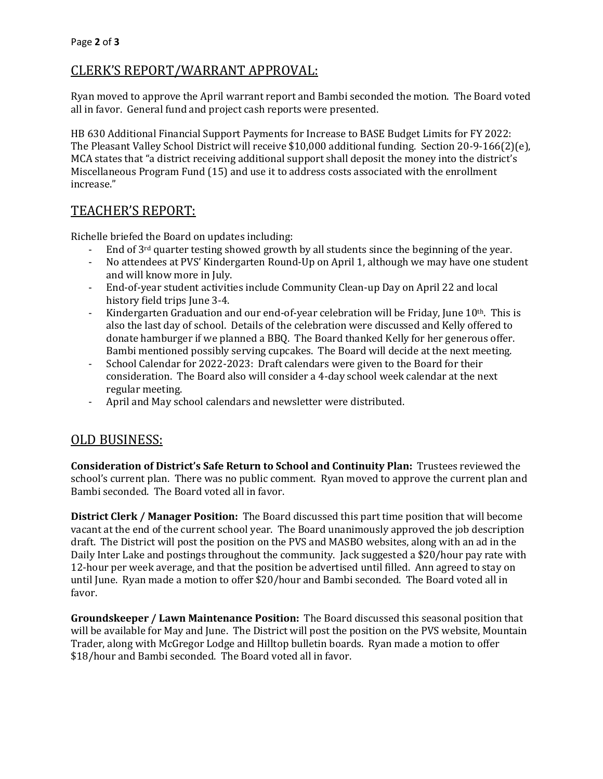# CLERK'S REPORT/WARRANT APPROVAL:

Ryan moved to approve the April warrant report and Bambi seconded the motion. The Board voted all in favor. General fund and project cash reports were presented.

HB 630 Additional Financial Support Payments for Increase to BASE Budget Limits for FY 2022: The Pleasant Valley School District will receive \$10,000 additional funding. Section 20-9-166(2)(e), MCA states that "a district receiving additional support shall deposit the money into the district's Miscellaneous Program Fund (15) and use it to address costs associated with the enrollment increase."

# TEACHER'S REPORT:

Richelle briefed the Board on updates including:

- End of 3<sup>rd</sup> quarter testing showed growth by all students since the beginning of the year.
- No attendees at PVS' Kindergarten Round-Up on April 1, although we may have one student and will know more in July.
- End-of-year student activities include Community Clean-up Day on April 22 and local history field trips June 3-4.
- Kindergarten Graduation and our end-of-year celebration will be Friday, June 10<sup>th</sup>. This is also the last day of school. Details of the celebration were discussed and Kelly offered to donate hamburger if we planned a BBQ. The Board thanked Kelly for her generous offer. Bambi mentioned possibly serving cupcakes. The Board will decide at the next meeting.
- School Calendar for 2022-2023: Draft calendars were given to the Board for their consideration. The Board also will consider a 4-day school week calendar at the next regular meeting.
- April and May school calendars and newsletter were distributed.

# OLD BUSINESS:

**Consideration of District's Safe Return to School and Continuity Plan:** Trustees reviewed the school's current plan. There was no public comment. Ryan moved to approve the current plan and Bambi seconded. The Board voted all in favor.

**District Clerk / Manager Position:** The Board discussed this part time position that will become vacant at the end of the current school year. The Board unanimously approved the job description draft. The District will post the position on the PVS and MASBO websites, along with an ad in the Daily Inter Lake and postings throughout the community. Jack suggested a \$20/hour pay rate with 12-hour per week average, and that the position be advertised until filled. Ann agreed to stay on until June. Ryan made a motion to offer \$20/hour and Bambi seconded. The Board voted all in favor.

**Groundskeeper / Lawn Maintenance Position:** The Board discussed this seasonal position that will be available for May and June. The District will post the position on the PVS website, Mountain Trader, along with McGregor Lodge and Hilltop bulletin boards. Ryan made a motion to offer \$18/hour and Bambi seconded. The Board voted all in favor.